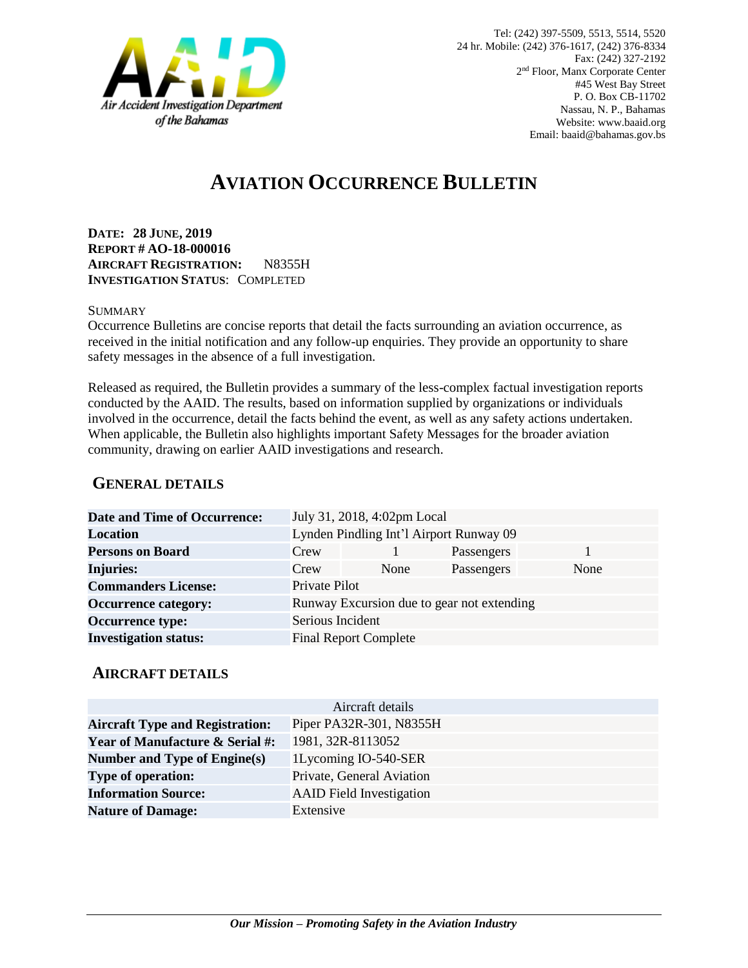

# **AVIATION OCCURRENCE BULLETIN**

**DATE: 28 JUNE, 2019 REPORT # AO-18-000016 AIRCRAFT REGISTRATION:** N8355H **INVESTIGATION STATUS**: COMPLETED

#### **SUMMARY**

Occurrence Bulletins are concise reports that detail the facts surrounding an aviation occurrence, as received in the initial notification and any follow-up enquiries. They provide an opportunity to share safety messages in the absence of a full investigation*.*

Released as required, the Bulletin provides a summary of the less-complex factual investigation reports conducted by the AAID. The results, based on information supplied by organizations or individuals involved in the occurrence, detail the facts behind the event, as well as any safety actions undertaken. When applicable, the Bulletin also highlights important Safety Messages for the broader aviation community, drawing on earlier AAID investigations and research.

### **GENERAL DETAILS**

| <b>Date and Time of Occurrence:</b> |                                            | July 31, 2018, 4:02pm Local  |            |      |
|-------------------------------------|--------------------------------------------|------------------------------|------------|------|
| <b>Location</b>                     | Lynden Pindling Int'l Airport Runway 09    |                              |            |      |
| <b>Persons on Board</b>             | Crew                                       |                              | Passengers |      |
| <b>Injuries:</b>                    | Crew                                       | None                         | Passengers | None |
| <b>Commanders License:</b>          | Private Pilot                              |                              |            |      |
| <b>Occurrence category:</b>         | Runway Excursion due to gear not extending |                              |            |      |
| <b>Occurrence type:</b>             | Serious Incident                           |                              |            |      |
| <b>Investigation status:</b>        |                                            | <b>Final Report Complete</b> |            |      |

#### **AIRCRAFT DETAILS**

|                                            | Aircraft details                |
|--------------------------------------------|---------------------------------|
| <b>Aircraft Type and Registration:</b>     | Piper PA32R-301, N8355H         |
| <b>Year of Manufacture &amp; Serial #:</b> | 1981, 32R-8113052               |
| Number and Type of Engine(s)               | 1Lycoming IO-540-SER            |
| <b>Type of operation:</b>                  | Private, General Aviation       |
| <b>Information Source:</b>                 | <b>AAID</b> Field Investigation |
| <b>Nature of Damage:</b>                   | Extensive                       |